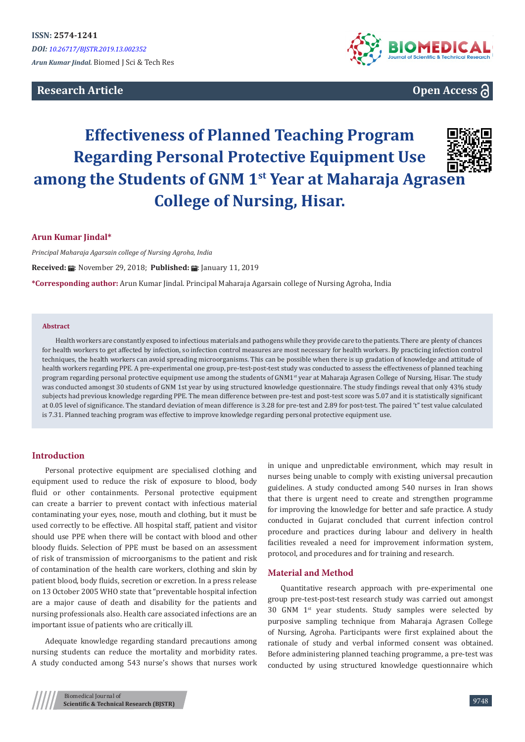# **Research Article**



**Open Access**

# **Effectiveness of Planned Teaching Program Regarding Personal Protective Equipment Use among the Students of GNM 1st Year at Maharaja Agrasen College of Nursing, Hisar.**



## **Arun Kumar Jindal\***

*Principal Maharaja Agarsain college of Nursing Agroha, India*

**Received: 論: November 29, 2018: Published: 論: January 11, 2019** 

**\*Corresponding author:** Arun Kumar Jindal. Principal Maharaja Agarsain college of Nursing Agroha, India

#### **Abstract**

Health workers are constantly exposed to infectious materials and pathogens while they provide care to the patients. There are plenty of chances for health workers to get affected by infection, so infection control measures are most necessary for health workers. By practicing infection control techniques, the health workers can avoid spreading microorganisms. This can be possible when there is up gradation of knowledge and attitude of health workers regarding PPE. A pre-experimental one group, pre-test-post-test study was conducted to assess the effectiveness of planned teaching program regarding personal protective equipment use among the students of GNM1<sup>st</sup> year at Maharaja Agrasen College of Nursing, Hisar. The study was conducted amongst 30 students of GNM 1st year by using structured knowledge questionnaire. The study findings reveal that only 43% study subjects had previous knowledge regarding PPE. The mean difference between pre-test and post-test score was 5.07 and it is statistically significant at 0.05 level of significance. The standard deviation of mean difference is 3.28 for pre-test and 2.89 for post-test. The paired 't" test value calculated is 7.31. Planned teaching program was effective to improve knowledge regarding personal protective equipment use.

## **Introduction**

Personal protective equipment are specialised clothing and equipment used to reduce the risk of exposure to blood, body fluid or other containments. Personal protective equipment can create a barrier to prevent contact with infectious material contaminating your eyes, nose, mouth and clothing, but it must be used correctly to be effective. All hospital staff, patient and visitor should use PPE when there will be contact with blood and other bloody fluids. Selection of PPE must be based on an assessment of risk of transmission of microorganisms to the patient and risk of contamination of the health care workers, clothing and skin by patient blood, body fluids, secretion or excretion. In a press release on 13 October 2005 WHO state that "preventable hospital infection are a major cause of death and disability for the patients and nursing professionals also. Health care associated infections are an important issue of patients who are critically ill.

Adequate knowledge regarding standard precautions among nursing students can reduce the mortality and morbidity rates. A study conducted among 543 nurse's shows that nurses work in unique and unpredictable environment, which may result in nurses being unable to comply with existing universal precaution guidelines. A study conducted among 540 nurses in Iran shows that there is urgent need to create and strengthen programme for improving the knowledge for better and safe practice. A study conducted in Gujarat concluded that current infection control procedure and practices during labour and delivery in health facilities revealed a need for improvement information system, protocol, and procedures and for training and research.

#### **Material and Method**

Quantitative research approach with pre-experimental one group pre-test-post-test research study was carried out amongst 30 GNM 1st year students. Study samples were selected by purposive sampling technique from Maharaja Agrasen College of Nursing, Agroha. Participants were first explained about the rationale of study and verbal informed consent was obtained. Before administering planned teaching programme, a pre-test was conducted by using structured knowledge questionnaire which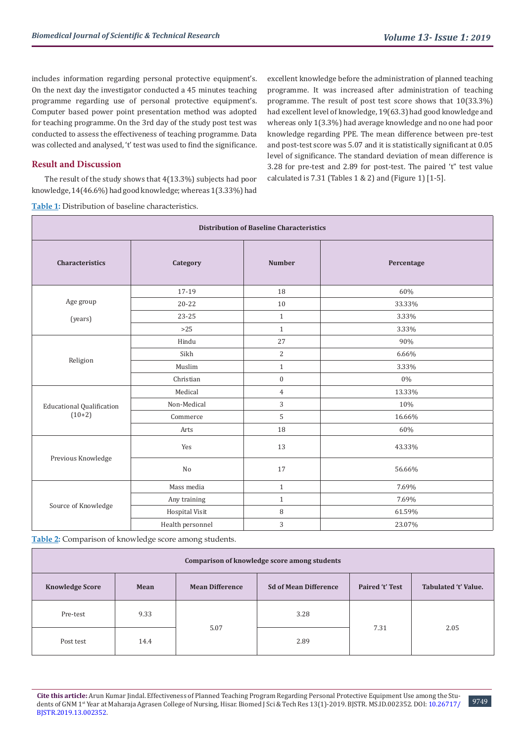includes information regarding personal protective equipment's. On the next day the investigator conducted a 45 minutes teaching programme regarding use of personal protective equipment's. Computer based power point presentation method was adopted for teaching programme. On the 3rd day of the study post test was conducted to assess the effectiveness of teaching programme. Data was collected and analysed, 't' test was used to find the significance.

## **Result and Discussion**

The result of the study shows that 4(13.3%) subjects had poor knowledge, 14(46.6%) had good knowledge; whereas 1(3.33%) had

excellent knowledge before the administration of planned teaching programme. It was increased after administration of teaching programme. The result of post test score shows that 10(33.3%) had excellent level of knowledge, 19(63.3) had good knowledge and whereas only 1(3.3%) had average knowledge and no one had poor knowledge regarding PPE. The mean difference between pre-test and post-test score was 5.07 and it is statistically significant at 0.05 level of significance. The standard deviation of mean difference is 3.28 for pre-test and 2.89 for post-test. The paired 't" test value calculated is  $7.31$  (Tables  $1 \& 2$ ) and (Figure 1)  $[1-5]$ .

|  |  |  | <b>Table 1:</b> Distribution of baseline characteristics. |
|--|--|--|-----------------------------------------------------------|
|  |  |  |                                                           |

| <b>Distribution of Baseline Characteristics</b> |                  |                  |            |  |  |  |  |
|-------------------------------------------------|------------------|------------------|------------|--|--|--|--|
| <b>Characteristics</b>                          | Category         | <b>Number</b>    | Percentage |  |  |  |  |
|                                                 | 17-19            | 18               | 60%        |  |  |  |  |
| Age group                                       | $20 - 22$        | 10               | 33.33%     |  |  |  |  |
| (years)                                         | 23-25            | $\mathbf{1}$     | 3.33%      |  |  |  |  |
|                                                 | $>25$            | $\mathbf{1}$     | 3.33%      |  |  |  |  |
| Religion                                        | Hindu            | 27               | 90%        |  |  |  |  |
|                                                 | Sikh             | $\overline{c}$   | 6.66%      |  |  |  |  |
|                                                 | Muslim           | $\mathbf{1}$     | 3.33%      |  |  |  |  |
|                                                 | Christian        | $\boldsymbol{0}$ | $0\%$      |  |  |  |  |
|                                                 | Medical          | $\overline{4}$   | 13.33%     |  |  |  |  |
| <b>Educational Qualification</b>                | Non-Medical      | 3                | 10%        |  |  |  |  |
| $(10+2)$                                        | Commerce         | 5                | 16.66%     |  |  |  |  |
|                                                 | Arts             | $18\,$           | 60%        |  |  |  |  |
| Previous Knowledge                              | Yes              | 13               | 43.33%     |  |  |  |  |
|                                                 | $\rm No$         | 17               | 56.66%     |  |  |  |  |
| Source of Knowledge                             | Mass media       | $\mathbf{1}$     | 7.69%      |  |  |  |  |
|                                                 | Any training     | $\mathbf{1}$     | 7.69%      |  |  |  |  |
|                                                 | Hospital Visit   | $\, 8$           | 61.59%     |  |  |  |  |
|                                                 | Health personnel | $\sqrt{3}$       | 23.07%     |  |  |  |  |

**Table 2:** Comparison of knowledge score among students.

| Comparison of knowledge score among students |      |                        |                              |                 |                      |  |  |  |  |
|----------------------------------------------|------|------------------------|------------------------------|-----------------|----------------------|--|--|--|--|
| <b>Knowledge Score</b>                       | Mean | <b>Mean Difference</b> | <b>Sd of Mean Difference</b> | Paired 't' Test | Tabulated 't' Value. |  |  |  |  |
| Pre-test                                     | 9.33 | 5.07                   | 3.28                         | 7.31            | 2.05                 |  |  |  |  |
| Post test                                    | 14.4 |                        | 2.89                         |                 |                      |  |  |  |  |

**Cite this article:** Arun Kumar Jindal. Effectiveness of Planned Teaching Program Regarding Personal Protective Equipment Use among the Students of GNM 1<sup>st</sup> Year at Maharaja Agrasen College of Nursing, Hisar. Biomed J Sci & Tech Res 13(1)-2019. BJSTR. MS.ID.002352. DOI: 10.26717/ [BJSTR.2019.13.0023](http://dx.doi.org/10.26717/BJSTR.2019.13.002352)52.

9749